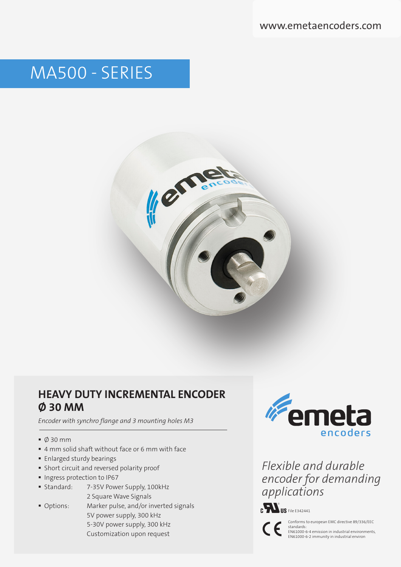# MA500 - SERIES



### **HEAVY DUTY INCREMENTAL ENCODER Ø 30 MM**

*Encoder with synchro flange and 3 mounting holes M3*

- Ø 30 mm
- 4 mm solid shaft without face or 6 mm with face
- **Enlarged sturdy bearings**
- Short circuit and reversed polarity proof
- **Ingress protection to IP67**
- **Standard:** 7-35V Power Supply, 100kHz 2 Square Wave Signals
- Options: Marker pulse, and/or inverted signals 5V power supply, 300 kHz 5-30V power supply, 300 kHz Customization upon request



*Flexible and durable encoder for demanding applications*





Conforms to european EMC directive 89/336/EEC

standards: EN61000-6-4 emission in industrial environments, EN61000-6-2 immunity in industrial environ